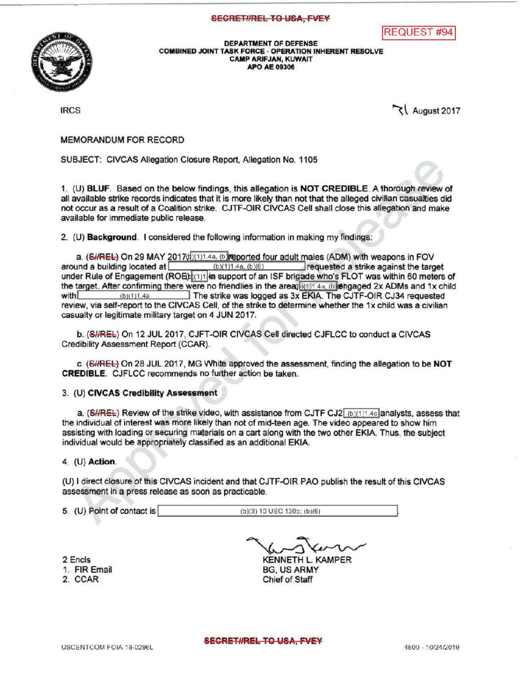## **SECRET#REL TO USA, FVEY**





DEPARTMENT OF DEFENSE COMBINED JOINT TASK FORCE - OPERATION INHERENT RESOLVE CAMPARIFJAN, KUWAIT APO AE 09306

 $\log 2017$ 

MEMORANDUMFOR RECORD

SUBJECT: CIVCAS Allegation Closure Report, Allegation No. 1105

1. (U) BLUF. Based on the below findings, this allegation is NOT CREDIBLE. A thorough review of all available strike records indicates that it is more likely than not that the alleged civilian casualties did not occur as a result of a Coalition strike . CJTF - OIR CIVCAS Cell shall close this allegation and make available for immediate public release .

2. (U) Background. I considered the following information in making my findings:

a. (SHREL) On 29 MAY 2017( $\frac{1}{1}$ , (b) for adult males (ADM) with weapons in FOV around a building located at (b)(1)1.4a, (b)(6) requested a strike against the target requested a strike against the target under Rule of Engagement (ROEb (1)1 in support of an ISF brigade who's FLOT was within 60 meters of the target. After confirming there were no friendlies in the area  $h^{(n)}$  4a, (b) engaged 2x ADMs and 1x child with  $h^{(n)}$  (b)(1)1.4a The strike was logged as 3x EKIA. The CJTF-OIR CJ34 requested review, via self-report to the CIVCAS Cell, of the strike to determine whether the 1x child was a civilian casualty or legitimate military target on 4 JUN 2017.

b. (S//REL) On 12 JUL 2017, CJFT-OIR CIVCAS Cell directed CJFLCC to conduct a CIVCAS Credibility Assessment Report(CCAR).

c. (SHREL) On 28 JUL 2017, MG White approved the assessment, finding the allegation to be NOT **CREDIBLE.** CJFLCC recommends no further action be taken.

## 3. (U) CIVCAS Credibility Assessment

a.  $(SHREE)$  Review of the strike video, with assistance from CJTF CJ2  $(b)(1)1.4c$  analysts, assess that the individual of interest was more likely than not of mid-teen age. The video appeared to show him assisting with loading or securing materials on a cart along with the two other EKIA. Thus, the subject individual would be appropriately classified as an additional EKIA.

## 4. (U) Action.

(U) I direct closure of this CIVCAS incident and that CJTF-OIR PAO publish the result of this CIVCAS assessment in a press release as soon as practicable.

**5. (U) Point of contact is (b) (3) 10 USC 130b; (b) (6)** 

2 Encls 1. FIR Email 2. CCAR

KENNETH L. KAMPER

BG, US ARMY Chief of Staff

SECRET#REL TO USA, FVEY